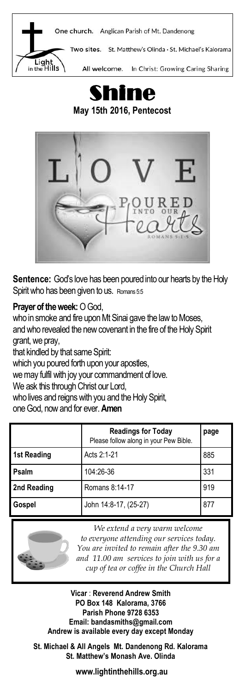



**May 15th 2016, Pentecost** 



**Sentence:** God's love has been poured into our hearts by the Holy Spirit who has been given to us. Romans 5:5

## **Prayer of the week:** O God,

who in smoke and fire upon Mt Sinai gave the law to Moses, and who revealed the new covenant in the fire of the Holy Spirit grant, we pray,

that kindled by that same Spirit:

which you poured forth upon your apostles,

we may fulfil with joy your commandment of love.

We ask this through Christ our Lord,

who lives and reigns with you and the Holy Spirit,

one God, now and for ever. **Amen**

|             | <b>Readings for Today</b><br>Please follow along in your Pew Bible. | page |
|-------------|---------------------------------------------------------------------|------|
| 1st Reading | Acts 2:1-21                                                         | 885  |
| Psalm       | 104:26-36                                                           | 331  |
| 2nd Reading | Romans 8:14-17                                                      | 919  |
| Gospel      | John 14:8-17, (25-27)                                               | 877  |



*We extend a very warm welcome to everyone attending our services today. You are invited to remain after the 9.30 am and 11.00 am services to join with us for a cup of tea or coffee in the Church Hall*

**Vicar** : **Reverend Andrew Smith PO Box 148 Kalorama, 3766 Parish Phone 9728 6353 Email: bandasmiths@gmail.com Andrew is available every day except Monday**

**St. Michael & All Angels Mt. Dandenong Rd. Kalorama St. Matthew's Monash Ave. Olinda**

**www.lightinthehills.org.au**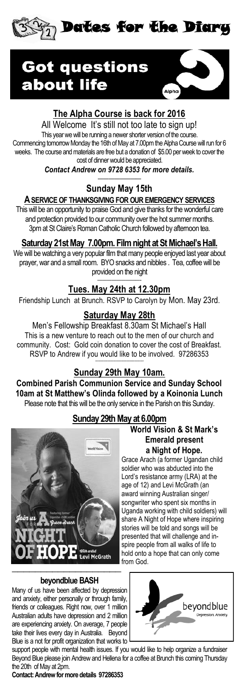



# **The Alpha Course is back for 2016**

All Welcome It's still not too late to sign up! This year we will be running a newer shorter version of the course. Commencing tomorrow Monday the 16th of May at 7.00pm the Alpha Course will run for 6 weeks. The course and materials are free but a donation of \$5.00 per week to cover the cost of dinner would be appreciated.

*Contact Andrew on 9728 6353 for more details.* ————————

# **Sunday May 15th**

## **A SERVICE OF THANKSGIVINGFOR OUR EMERGENCY SERVICES**

This will be an opportunity to praise God and give thanks for the wonderful care and protection provided to our community over the hot summer months. 3pm at St Claire's Roman Catholic Church followed by afternoon tea.

## **Saturday 21st May 7.00pm. Film night at St Michael's Hall.**

We will be watching a very popular film that many people enjoyed last year about prayer, war and a small room. BYO snacks and nibbles . Tea, coffee will be provided on the night —————————-

## **Tues. May 24th at 12.30pm**

Friendship Lunch at Brunch. RSVP to Carolyn by Mon. May 23rd.

## **Saturday May 28th**

Men's Fellowship Breakfast 8.30am St Michael's Hall This is a new venture to reach out to the men of our church and community. Cost: Gold coin donation to cover the cost of Breakfast. RSVP to Andrew if you would like to be involved. 97286353

#### **———–——————————————- Sunday 29th May 10am.**

**Combined Parish Communion Service and Sunday School 10am at St Matthew's Olinda followed by a Koinonia Lunch**  Please note that this will be the only service in the Parish on this Sunday.

## **Sunday 29th May at 6.00pm**



## **World Vision & St Mark's Emerald present a Night of Hope.**

Grace Arach (a former Ugandan child soldier who was abducted into the Lord's resistance army (LRA) at the age of 12) and Levi McGrath (an award winning Australian singer/ songwriter who spent six months in Uganda working with child soldiers) will share A Night of Hope where inspiring stories will be told and songs will be presented that will challenge and inspire people from all walks of life to hold onto a hope that can only come from God.

#### —————————————————— **beyondblue BASH**

Many of us have been affected by depression and anxiety, either personally or through family, friends or colleagues. Right now, over 1 million Australian adults have depression and 2 million are experiencing anxiety. On average, 7 people take their lives every day in Australia. Beyond Blue is a not for profit organization that works to beyondblue

support people with mental health issues. If you would like to help organize a fundraiser Beyond Blue please join Andrew and Hellena for a coffee at Brunch this coming Thursday the 20th of May at 2pm.

**Contact: Andrew for more details 97286353**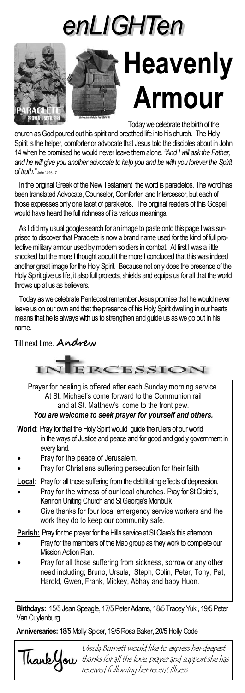



 Today we celebrate the birth of the church as God poured out his spirit and breathed life into his church. The Holy Spirit is the helper, comforter or advocate that Jesus told the disciples about in John 14 when he promised he would never leave them alone. *"And I will ask the Father, and he will give you another advocate to help you and be with you forever the Spirit of truth."* John 14:16-17

 In the original Greek of the New Testament the word is paracletos. The word has been translated Advocate, Counselor, Comforter, and Intercessor, but each of those expresses only one facet of parakletos. The original readers of this Gospel would have heard the full richness of its various meanings.

 As I did my usual google search for an image to paste onto this page I was surprised to discover that Paraclete is now a brand name used for the kind of full protective military armour used by modern soldiers in combat. At first I was a little shocked but the more I thought about it the more I concluded that this was indeed another great image for the Holy Spirit. Because not only does the presence of the Holy Spirit give us life, it also full protects, shields and equips us for all that the world throws up at us as believers.

 Today as we celebrate Pentecost remember Jesus promise that he would never leave us on our own and that the presence of his Holy Spirit dwelling in our hearts means that he is always with us to strengthen and guide us as we go out in his name.

Till next time. **Andrew**



**Anniversaries:** 18/5 Molly Spicer, 19/5 Rosa Baker, 20/5 Holly Code



Ursula Burnett would like to express her deepest **Thank you** thanks for all the love, prayer and support she has received following her recent illness.